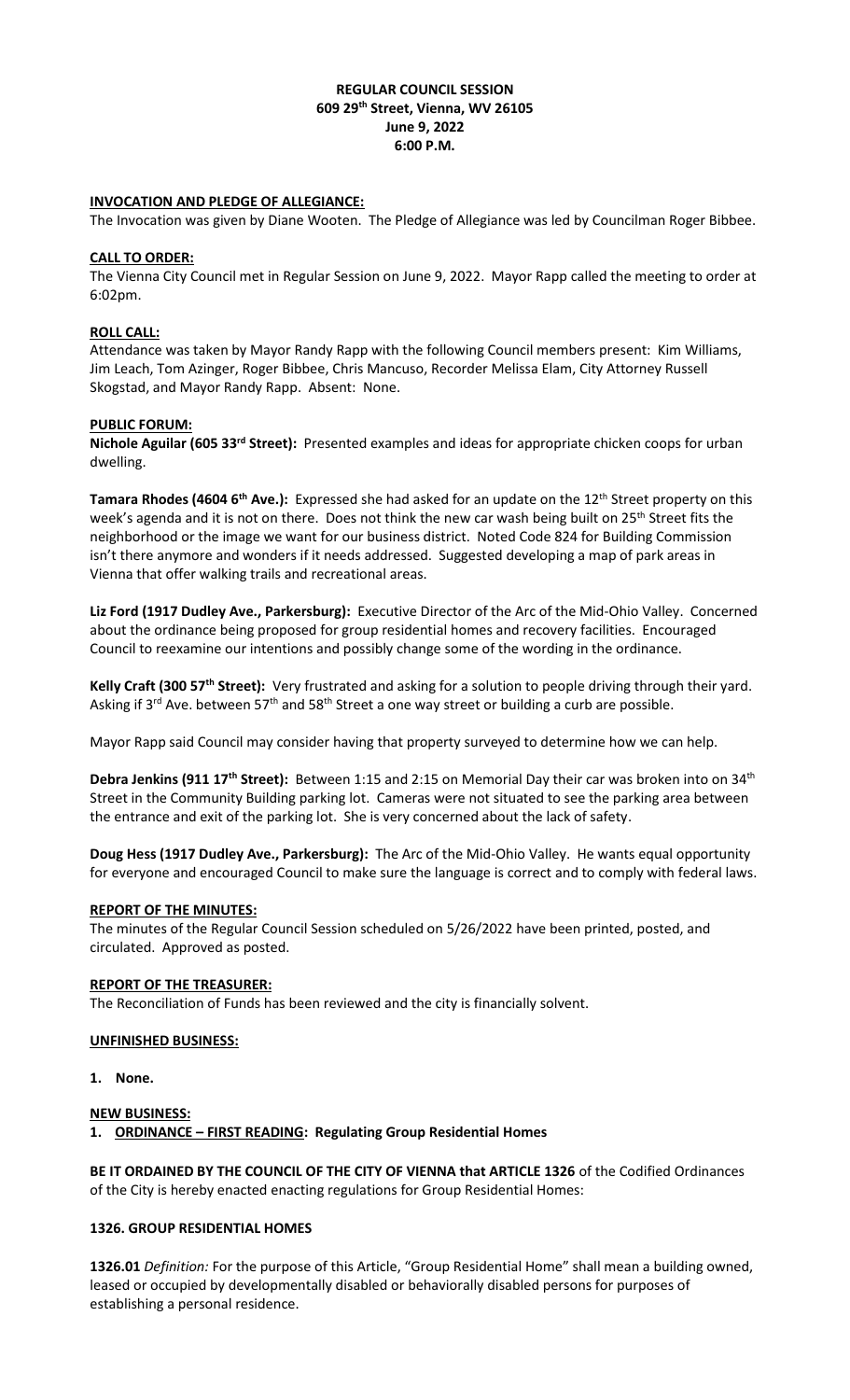## **REGULAR COUNCIL SESSION 609 29th Street, Vienna, WV 26105 June 9, 2022 6:00 P.M.**

#### **INVOCATION AND PLEDGE OF ALLEGIANCE:**

The Invocation was given by Diane Wooten. The Pledge of Allegiance was led by Councilman Roger Bibbee.

#### **CALL TO ORDER:**

The Vienna City Council met in Regular Session on June 9, 2022. Mayor Rapp called the meeting to order at 6:02pm.

#### **ROLL CALL:**

Attendance was taken by Mayor Randy Rapp with the following Council members present: Kim Williams, Jim Leach, Tom Azinger, Roger Bibbee, Chris Mancuso, Recorder Melissa Elam, City Attorney Russell Skogstad, and Mayor Randy Rapp. Absent: None.

## **PUBLIC FORUM:**

**Nichole Aguilar (605 33rd Street):** Presented examples and ideas for appropriate chicken coops for urban dwelling.

**Tamara Rhodes (4604 6th Ave.):** Expressed she had asked for an update on the 12th Street property on this week's agenda and it is not on there. Does not think the new car wash being built on 25<sup>th</sup> Street fits the neighborhood or the image we want for our business district. Noted Code 824 for Building Commission isn't there anymore and wonders if it needs addressed. Suggested developing a map of park areas in Vienna that offer walking trails and recreational areas.

**Liz Ford (1917 Dudley Ave., Parkersburg):** Executive Director of the Arc of the Mid-Ohio Valley. Concerned about the ordinance being proposed for group residential homes and recovery facilities. Encouraged Council to reexamine our intentions and possibly change some of the wording in the ordinance.

**Kelly Craft (300 57th Street):** Very frustrated and asking for a solution to people driving through their yard. Asking if 3<sup>rd</sup> Ave. between 57<sup>th</sup> and 58<sup>th</sup> Street a one way street or building a curb are possible.

Mayor Rapp said Council may consider having that property surveyed to determine how we can help.

**Debra Jenkins (911 17th Street):** Between 1:15 and 2:15 on Memorial Day their car was broken into on 34th Street in the Community Building parking lot. Cameras were not situated to see the parking area between the entrance and exit of the parking lot. She is very concerned about the lack of safety.

**Doug Hess (1917 Dudley Ave., Parkersburg):** The Arc of the Mid-Ohio Valley. He wants equal opportunity for everyone and encouraged Council to make sure the language is correct and to comply with federal laws.

#### **REPORT OF THE MINUTES:**

The minutes of the Regular Council Session scheduled on 5/26/2022 have been printed, posted, and circulated. Approved as posted.

#### **REPORT OF THE TREASURER:**

The Reconciliation of Funds has been reviewed and the city is financially solvent.

#### **UNFINISHED BUSINESS:**

**1. None.**

#### **NEW BUSINESS:**

**1. ORDINANCE – FIRST READING: Regulating Group Residential Homes**

**BE IT ORDAINED BY THE COUNCIL OF THE CITY OF VIENNA that ARTICLE 1326** of the Codified Ordinances of the City is hereby enacted enacting regulations for Group Residential Homes:

## **1326. GROUP RESIDENTIAL HOMES**

**1326.01** *Definition:* For the purpose of this Article, "Group Residential Home" shall mean a building owned, leased or occupied by developmentally disabled or behaviorally disabled persons for purposes of establishing a personal residence.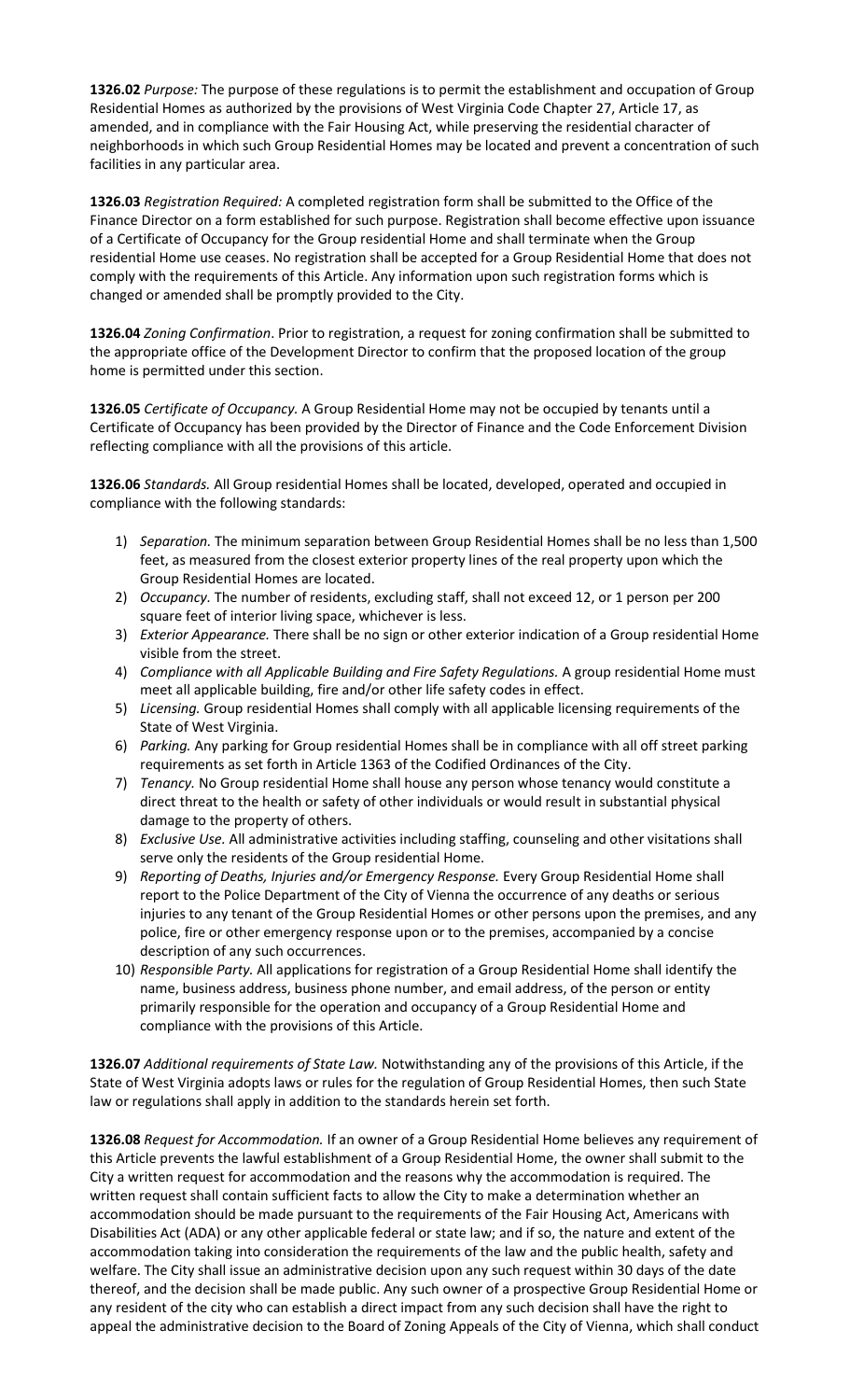**1326.02** *Purpose:* The purpose of these regulations is to permit the establishment and occupation of Group Residential Homes as authorized by the provisions of West Virginia Code Chapter 27, Article 17, as amended, and in compliance with the Fair Housing Act, while preserving the residential character of neighborhoods in which such Group Residential Homes may be located and prevent a concentration of such facilities in any particular area.

**1326.03** *Registration Required:* A completed registration form shall be submitted to the Office of the Finance Director on a form established for such purpose. Registration shall become effective upon issuance of a Certificate of Occupancy for the Group residential Home and shall terminate when the Group residential Home use ceases. No registration shall be accepted for a Group Residential Home that does not comply with the requirements of this Article. Any information upon such registration forms which is changed or amended shall be promptly provided to the City.

**1326.04** *Zoning Confirmation*. Prior to registration, a request for zoning confirmation shall be submitted to the appropriate office of the Development Director to confirm that the proposed location of the group home is permitted under this section.

**1326.05** *Certificate of Occupancy.* A Group Residential Home may not be occupied by tenants until a Certificate of Occupancy has been provided by the Director of Finance and the Code Enforcement Division reflecting compliance with all the provisions of this article.

**1326.06** *Standards.* All Group residential Homes shall be located, developed, operated and occupied in compliance with the following standards:

- 1) *Separation.* The minimum separation between Group Residential Homes shall be no less than 1,500 feet, as measured from the closest exterior property lines of the real property upon which the Group Residential Homes are located.
- 2) *Occupancy.* The number of residents, excluding staff, shall not exceed 12, or 1 person per 200 square feet of interior living space, whichever is less.
- 3) *Exterior Appearance.* There shall be no sign or other exterior indication of a Group residential Home visible from the street.
- 4) *Compliance with all Applicable Building and Fire Safety Regulations.* A group residential Home must meet all applicable building, fire and/or other life safety codes in effect.
- 5) *Licensing.* Group residential Homes shall comply with all applicable licensing requirements of the State of West Virginia.
- 6) *Parking.* Any parking for Group residential Homes shall be in compliance with all off street parking requirements as set forth in Article 1363 of the Codified Ordinances of the City.
- 7) *Tenancy.* No Group residential Home shall house any person whose tenancy would constitute a direct threat to the health or safety of other individuals or would result in substantial physical damage to the property of others.
- 8) *Exclusive Use.* All administrative activities including staffing, counseling and other visitations shall serve only the residents of the Group residential Home.
- 9) *Reporting of Deaths, Injuries and/or Emergency Response.* Every Group Residential Home shall report to the Police Department of the City of Vienna the occurrence of any deaths or serious injuries to any tenant of the Group Residential Homes or other persons upon the premises, and any police, fire or other emergency response upon or to the premises, accompanied by a concise description of any such occurrences.
- 10) *Responsible Party.* All applications for registration of a Group Residential Home shall identify the name, business address, business phone number, and email address, of the person or entity primarily responsible for the operation and occupancy of a Group Residential Home and compliance with the provisions of this Article.

**1326.07** *Additional requirements of State Law.* Notwithstanding any of the provisions of this Article, if the State of West Virginia adopts laws or rules for the regulation of Group Residential Homes, then such State law or regulations shall apply in addition to the standards herein set forth.

**1326.08** *Request for Accommodation.* If an owner of a Group Residential Home believes any requirement of this Article prevents the lawful establishment of a Group Residential Home, the owner shall submit to the City a written request for accommodation and the reasons why the accommodation is required. The written request shall contain sufficient facts to allow the City to make a determination whether an accommodation should be made pursuant to the requirements of the Fair Housing Act, Americans with Disabilities Act (ADA) or any other applicable federal or state law; and if so, the nature and extent of the accommodation taking into consideration the requirements of the law and the public health, safety and welfare. The City shall issue an administrative decision upon any such request within 30 days of the date thereof, and the decision shall be made public. Any such owner of a prospective Group Residential Home or any resident of the city who can establish a direct impact from any such decision shall have the right to appeal the administrative decision to the Board of Zoning Appeals of the City of Vienna, which shall conduct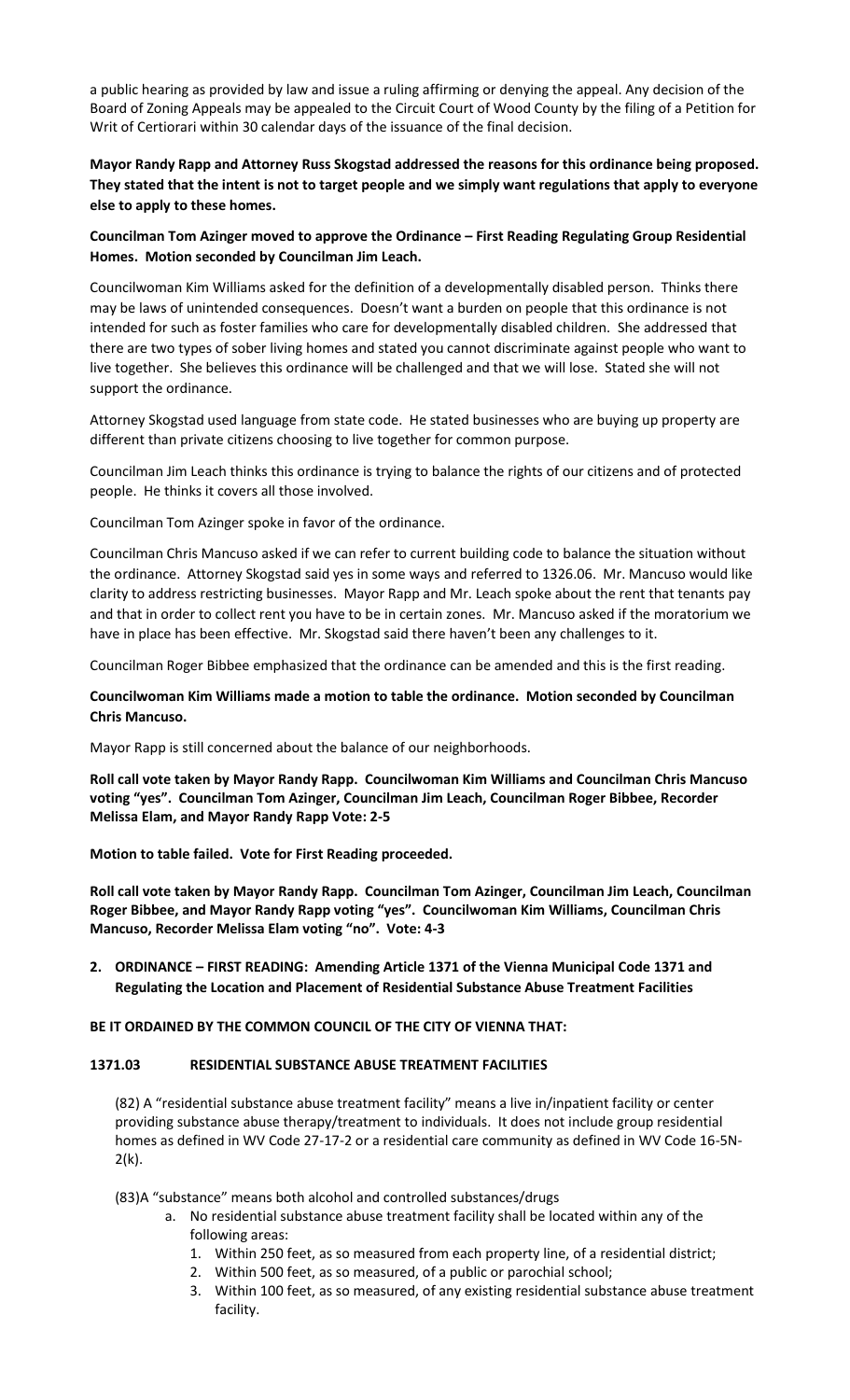a public hearing as provided by law and issue a ruling affirming or denying the appeal. Any decision of the Board of Zoning Appeals may be appealed to the Circuit Court of Wood County by the filing of a Petition for Writ of Certiorari within 30 calendar days of the issuance of the final decision.

**Mayor Randy Rapp and Attorney Russ Skogstad addressed the reasons for this ordinance being proposed. They stated that the intent is not to target people and we simply want regulations that apply to everyone else to apply to these homes.** 

## **Councilman Tom Azinger moved to approve the Ordinance – First Reading Regulating Group Residential Homes. Motion seconded by Councilman Jim Leach.**

Councilwoman Kim Williams asked for the definition of a developmentally disabled person. Thinks there may be laws of unintended consequences. Doesn't want a burden on people that this ordinance is not intended for such as foster families who care for developmentally disabled children. She addressed that there are two types of sober living homes and stated you cannot discriminate against people who want to live together. She believes this ordinance will be challenged and that we will lose. Stated she will not support the ordinance.

Attorney Skogstad used language from state code. He stated businesses who are buying up property are different than private citizens choosing to live together for common purpose.

Councilman Jim Leach thinks this ordinance is trying to balance the rights of our citizens and of protected people. He thinks it covers all those involved.

Councilman Tom Azinger spoke in favor of the ordinance.

Councilman Chris Mancuso asked if we can refer to current building code to balance the situation without the ordinance. Attorney Skogstad said yes in some ways and referred to 1326.06. Mr. Mancuso would like clarity to address restricting businesses. Mayor Rapp and Mr. Leach spoke about the rent that tenants pay and that in order to collect rent you have to be in certain zones. Mr. Mancuso asked if the moratorium we have in place has been effective. Mr. Skogstad said there haven't been any challenges to it.

Councilman Roger Bibbee emphasized that the ordinance can be amended and this is the first reading.

#### **Councilwoman Kim Williams made a motion to table the ordinance. Motion seconded by Councilman Chris Mancuso.**

Mayor Rapp is still concerned about the balance of our neighborhoods.

**Roll call vote taken by Mayor Randy Rapp. Councilwoman Kim Williams and Councilman Chris Mancuso voting "yes". Councilman Tom Azinger, Councilman Jim Leach, Councilman Roger Bibbee, Recorder Melissa Elam, and Mayor Randy Rapp Vote: 2-5**

**Motion to table failed. Vote for First Reading proceeded.**

**Roll call vote taken by Mayor Randy Rapp. Councilman Tom Azinger, Councilman Jim Leach, Councilman Roger Bibbee, and Mayor Randy Rapp voting "yes". Councilwoman Kim Williams, Councilman Chris Mancuso, Recorder Melissa Elam voting "no". Vote: 4-3**

**2. ORDINANCE – FIRST READING: Amending Article 1371 of the Vienna Municipal Code 1371 and Regulating the Location and Placement of Residential Substance Abuse Treatment Facilities**

**BE IT ORDAINED BY THE COMMON COUNCIL OF THE CITY OF VIENNA THAT:** 

#### **1371.03 RESIDENTIAL SUBSTANCE ABUSE TREATMENT FACILITIES**

(82) A "residential substance abuse treatment facility" means a live in/inpatient facility or center providing substance abuse therapy/treatment to individuals. It does not include group residential homes as defined in WV Code 27-17-2 or a residential care community as defined in WV Code 16-5N-2(k).

- (83)A "substance" means both alcohol and controlled substances/drugs
	- a. No residential substance abuse treatment facility shall be located within any of the following areas:
		- 1. Within 250 feet, as so measured from each property line, of a residential district;
		- 2. Within 500 feet, as so measured, of a public or parochial school;
		- 3. Within 100 feet, as so measured, of any existing residential substance abuse treatment facility.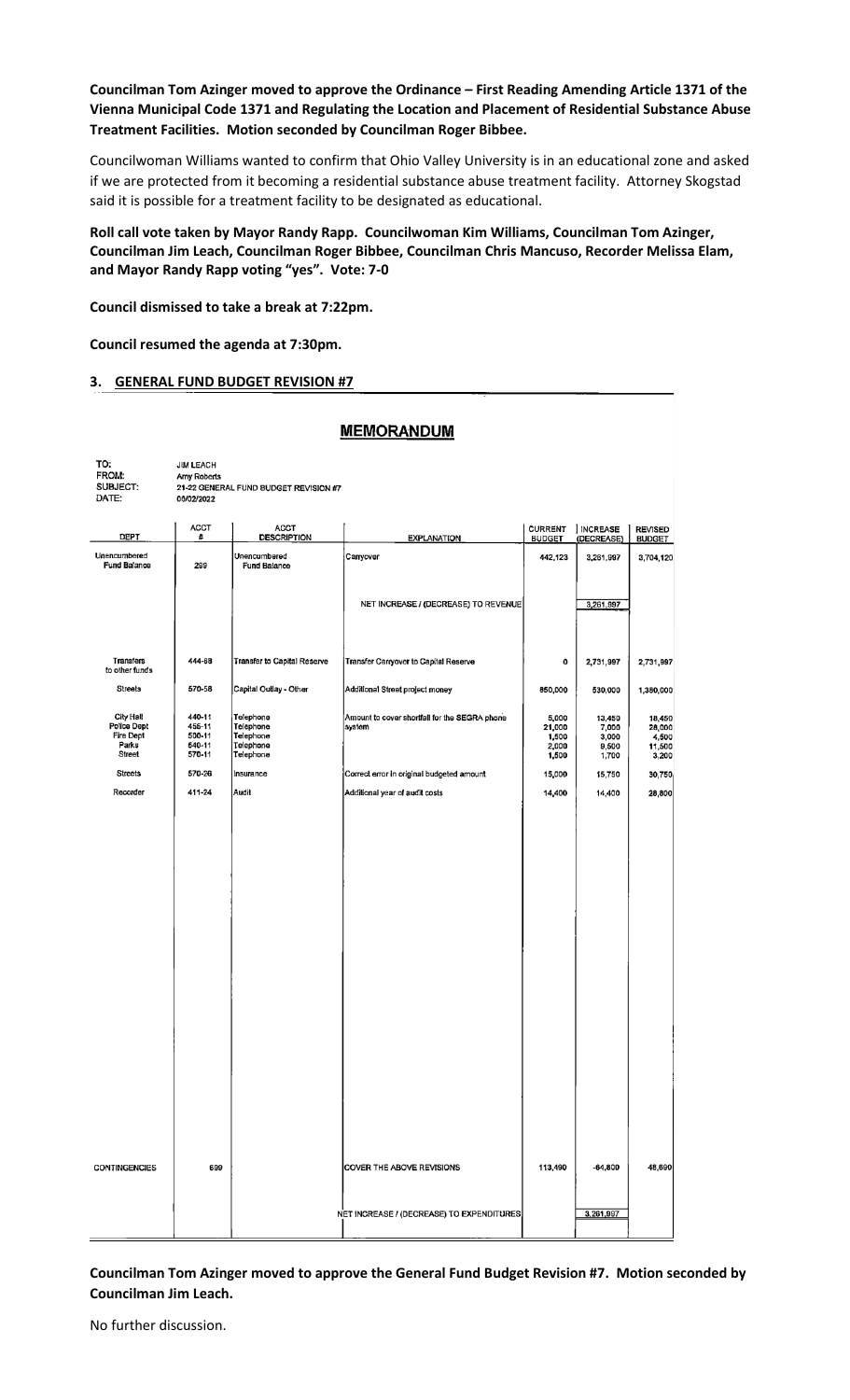**Councilman Tom Azinger moved to approve the Ordinance – First Reading Amending Article 1371 of the Vienna Municipal Code 1371 and Regulating the Location and Placement of Residential Substance Abuse Treatment Facilities. Motion seconded by Councilman Roger Bibbee.**

Councilwoman Williams wanted to confirm that Ohio Valley University is in an educational zone and asked if we are protected from it becoming a residential substance abuse treatment facility. Attorney Skogstad said it is possible for a treatment facility to be designated as educational.

## **Roll call vote taken by Mayor Randy Rapp. Councilwoman Kim Williams, Councilman Tom Azinger, Councilman Jim Leach, Councilman Roger Bibbee, Councilman Chris Mancuso, Recorder Melissa Elam, and Mayor Randy Rapp voting "yes". Vote: 7-0**

**Council dismissed to take a break at 7:22pm.**

**Council resumed the agenda at 7:30pm.**

#### **3. GENERAL FUND BUDGET REVISION #7**

| <b>MEMORANDUM</b>                                               |                                                |                                                               |                                                         |                                            |                                            |                                              |  |
|-----------------------------------------------------------------|------------------------------------------------|---------------------------------------------------------------|---------------------------------------------------------|--------------------------------------------|--------------------------------------------|----------------------------------------------|--|
| TO:<br>FROM:<br>SUBJECT:<br>DATE:                               | <b>JIM LEACH</b><br>Amy Roberts<br>06/02/2022  | 21-22 GENERAL FUND BUDGET REVISION #7                         |                                                         |                                            |                                            |                                              |  |
| DEPT                                                            | <b>ACCT</b><br>#                               | <b>ACCT</b><br><b>DESCRIPTION</b>                             | <b>EXPLANATION</b>                                      | <b>CURRENT</b><br><b>BUDGET</b>            | <b>INCREASE</b><br>(DECREASE)              | <b>REVISED</b><br><b>BUDGET</b>              |  |
| Unencumbered<br><b>Fund Balance</b>                             | 299                                            | Unencumbered<br><b>Fund Balance</b>                           | Carryover                                               | 442,123                                    | 3,261,997                                  | 3,704,120                                    |  |
|                                                                 |                                                |                                                               | NET INCREASE / (DECREASE) TO REVENUE                    |                                            | 3,261,997                                  |                                              |  |
| <b>Transfers</b><br>to other funds                              | 444-68                                         | Transfer to Capital Reserve                                   | Transfer Carryover to Capital Reserve                   | 0                                          | 2,731,997                                  | 2,731,997                                    |  |
| <b>Streets</b>                                                  | 570-58                                         | Capital Outlay - Other                                        | Additional Street project money                         | 850,000                                    | 530,000                                    | 1,380,000                                    |  |
| City Hall<br>Police Dept<br><b>Fire Dept</b><br>Parks<br>Street | 440-11<br>455-11<br>500-11<br>540-11<br>570-11 | Telephone<br>Telephone<br>Telephone<br>Telephone<br>Telephone | Amount to cover shortfall for the SEGRA phone<br>system | 5,000<br>21,000<br>1,500<br>2,000<br>1,500 | 13,450<br>7,000<br>3,000<br>9,500<br>1,700 | 18,450<br>28,000<br>4,500<br>11,500<br>3,200 |  |
| <b>Streets</b>                                                  | 570-26                                         | Insurance                                                     | Correct error in original budgeted amount               | 15,000                                     | 15,750                                     | 30,750                                       |  |
| Recorder                                                        | 411-24                                         | Audit                                                         | Additional year of audit costs                          | 14,400                                     | 14,400                                     | 28,800                                       |  |
| <b>CONTINGENCIES</b>                                            | 699                                            |                                                               | COVER THE ABOVE REVISIONS                               | 113,490                                    | $-64,800$                                  | 48,690                                       |  |
|                                                                 |                                                |                                                               | NET INCREASE / (DECREASE) TO EXPENDITURES               |                                            | 3,261,997                                  |                                              |  |

## **Councilman Tom Azinger moved to approve the General Fund Budget Revision #7. Motion seconded by Councilman Jim Leach.**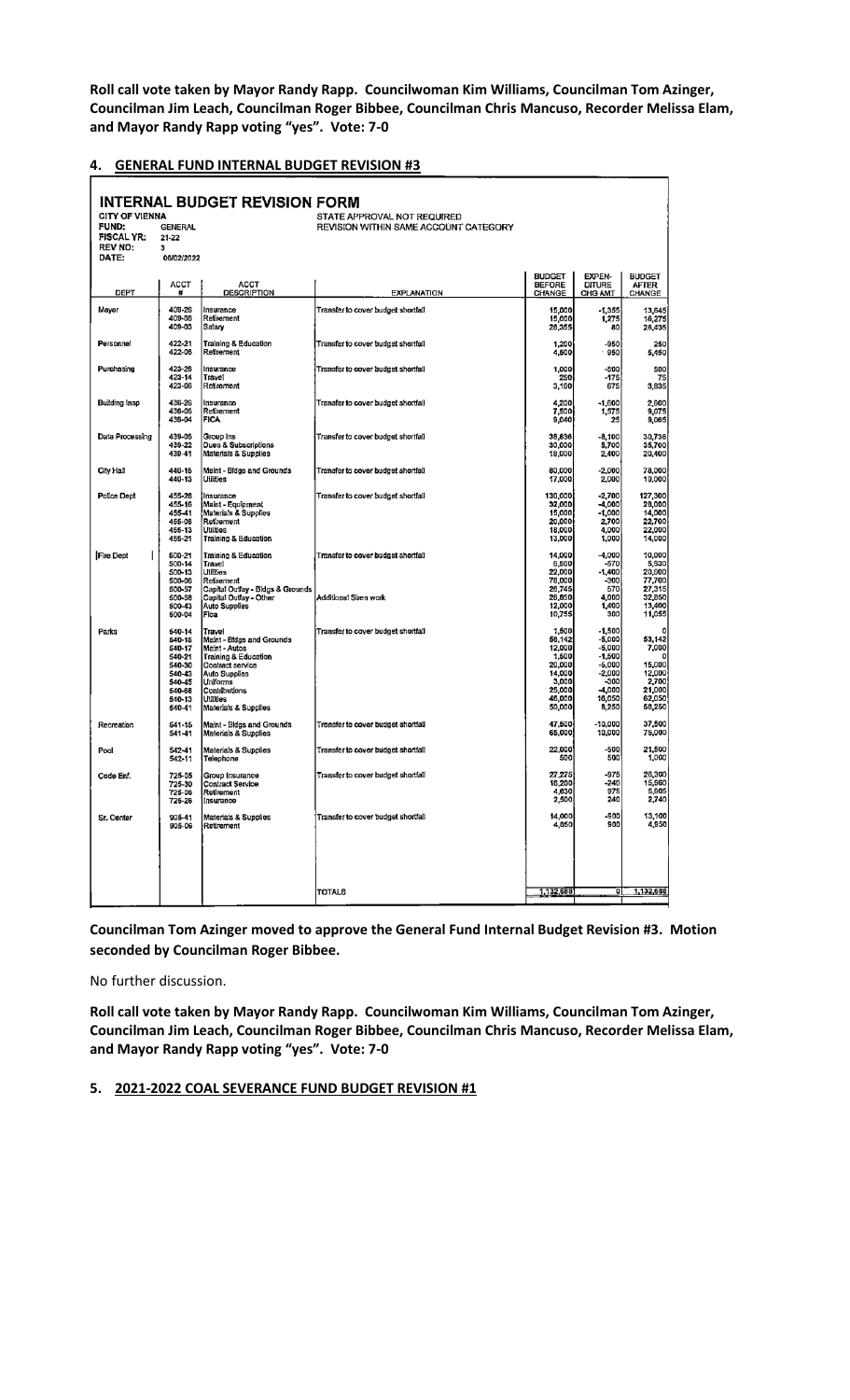**Roll call vote taken by Mayor Randy Rapp. Councilwoman Kim Williams, Councilman Tom Azinger, Councilman Jim Leach, Councilman Roger Bibbee, Councilman Chris Mancuso, Recorder Melissa Elam, and Mayor Randy Rapp voting "yes". Vote: 7-0**

## **4. GENERAL FUND INTERNAL BUDGET REVISION #3**

| <b>INTERNAL BUDGET REVISION FORM</b><br><b>CITY OF VIENNA</b><br>STATE APPROVAL NOT REQUIRED<br><b>FUND:</b><br><b>GENERAL</b><br>REVISION WITHIN SAME ACCOUNT CATEGORY<br><b>FISCAL YR:</b><br>21-22<br><b>REV NO:</b><br>3<br>DATE:<br>06/02/2022 |                                                                                                  |                                                                                                                                                                                                |                                                             |                                                                                               |                                                                                                         |                                                                             |
|-----------------------------------------------------------------------------------------------------------------------------------------------------------------------------------------------------------------------------------------------------|--------------------------------------------------------------------------------------------------|------------------------------------------------------------------------------------------------------------------------------------------------------------------------------------------------|-------------------------------------------------------------|-----------------------------------------------------------------------------------------------|---------------------------------------------------------------------------------------------------------|-----------------------------------------------------------------------------|
| <b>DEPT</b>                                                                                                                                                                                                                                         | <b>ACCT</b><br>#                                                                                 | <b>ACCT</b><br><b>DESCRIPTION</b>                                                                                                                                                              | EXPLANATION                                                 | <b>BUDGET</b><br><b>BEFORE</b><br>CHANGE                                                      | EXPEN-<br><b>DITURE</b><br><b>CHG AMT</b>                                                               | <b>BUDGET</b><br><b>AFTER</b><br>CHANGE                                     |
| Mayor                                                                                                                                                                                                                                               | 409-26<br>409-06<br>409-03                                                                       | Insurance<br>Retirement<br>Salary                                                                                                                                                              | Transfer to cover budget shortfall                          | 15,000<br>15,000<br>26,355                                                                    | $-1,355$<br>1,275<br>80                                                                                 | 13,645<br>16,275<br>26,435                                                  |
| Personnel                                                                                                                                                                                                                                           | 422-21<br>422-06                                                                                 | Training & Education<br>Retirement                                                                                                                                                             | Transfer to cover budget shortfall                          | 1,200<br>4,500                                                                                | -950<br>950                                                                                             | 250<br>5,450                                                                |
| Purchasing                                                                                                                                                                                                                                          | 423-26<br>423-14<br>423-06                                                                       | Insurance<br>Travel<br>Retirement                                                                                                                                                              | Transfer to cover budget shortfall                          | 1,000<br>250<br>3,160                                                                         | $-500$<br>$-175$<br>675                                                                                 | 500<br>75<br>3,835                                                          |
| <b>Building Insp</b>                                                                                                                                                                                                                                | 436-26<br>436-06<br>436-04                                                                       | Insurance<br>Retirement<br><b>FICA</b>                                                                                                                                                         | Transfer to cover budget shortfall                          | 4,200<br>7,500<br>9,040                                                                       | $-1.600$<br>1,575<br>25                                                                                 | 2,600<br>9,075<br>9,065                                                     |
| Data Processing                                                                                                                                                                                                                                     | 439-05<br>439-22<br>439-41                                                                       | Group Ins<br>Dues & Subscriptions<br>Materials & Supplies                                                                                                                                      | Transfer to cover budget shortfall                          | 38,836<br>30,000<br>18,000                                                                    | $-8,100$<br>5,700<br>2,400                                                                              | 30,736<br>35,700<br>20,400                                                  |
| City Hall                                                                                                                                                                                                                                           | 440-15<br>440-13                                                                                 | Maint - Bidgs and Grounds<br><b>Utilities</b>                                                                                                                                                  | Transfer to cover budget shortfall                          | 80,000<br>17,000                                                                              | $-2,000$<br>2,000                                                                                       | 78,000<br>19,000                                                            |
| Police Dept                                                                                                                                                                                                                                         | 455-26<br>455-16<br>455-41<br>455-06<br>455-13<br>455-21                                         | Insurance<br>Maint - Equipment<br>Materials & Supplies<br>Retirement<br><b>Litities</b><br>Training & Education                                                                                | Transfer to cover budget shortfall                          | 130,000<br>32,000<br>15,000<br>20,000<br>18,000<br>13,000                                     | $-2,700$<br>$-4,000$<br>-1,000<br>2,700<br>4,000<br>1,000                                               | 127,300<br>28,000<br>14,000<br>22,700<br>22,000<br>14,000                   |
| <b>Fire Dept</b><br>ı                                                                                                                                                                                                                               | 500-21<br>500-14<br>500-13<br>500-06<br>500-57<br>500-58<br>500-43<br>500-04                     | Training & Education<br>Travel<br>Utilities<br>Retirement<br>Capital Outlay - Bldgs & Grounds<br>Capital Outlay - Other<br><b>Auto Supplies</b><br>Fica                                        | Transfer to cover budget shortfall<br>Additional Siren work | 14,000<br>6,500<br>22,000<br>78,000<br>26,745<br>28,850<br>12,000<br>10,755                   | $-4,000$<br>-570<br>$-1,400$<br>$-300$<br>570<br>4,000<br>1,400<br>300                                  | 10,000<br>5,930<br>20,600<br>77,700<br>27,315<br>32,850<br>13,400<br>11,055 |
| Parks                                                                                                                                                                                                                                               | 540-14<br>540-15<br>540-17<br>540-21<br>540-30<br>540-43<br>540-45<br>540-68<br>540-13<br>540-41 | Travel<br>Maint - Bidgs and Grounds<br>Maint-Autos<br><b>Training &amp; Education</b><br>Contract service<br>Auto Supplies<br>Uniforms<br>Contributions<br>l Itilities<br>Materials & Supplies | Transfer to cover budget shortfall                          | 1,500<br>58,142<br>12,000<br>1,500<br>20,000<br>14,000<br>3,000<br>25,000<br>46,000<br>50,000 | $-1,500$<br>-5,000<br>$-5,000$<br>$-1,500$<br>$-5,000$<br>-2,000<br>$-300$<br>-4,000<br>16,050<br>8,250 | 53,142<br>7,000<br>15,000<br>12,000<br>2,700<br>21,000<br>62,050<br>58,250  |
| Recreation                                                                                                                                                                                                                                          | 541-15<br>541-41                                                                                 | Maint - Bldgs and Grounds<br>Materials & Supplies                                                                                                                                              | Transfer to cover budget shortfall                          | 47,500<br>65,000                                                                              | $-10,000$<br>10,000                                                                                     | 37,500<br>75,000                                                            |
| Pool                                                                                                                                                                                                                                                | 542-41<br>542-11                                                                                 | <b>Materials &amp; Supplies</b><br>Telephone                                                                                                                                                   | Transfer to cover budget shortfall                          | 22,000<br>500                                                                                 | $-500$<br>500                                                                                           | 21,500<br>1,000                                                             |
| Code Enf.                                                                                                                                                                                                                                           | 725-05<br>725-30<br>725-06<br>725-26                                                             | Group Insurance<br><b>Contract Service</b><br>Retirement<br>Insurance                                                                                                                          | Transfer to cover budget shortfall                          | 27,275<br>16,200<br>4,630<br>2,500                                                            | -975<br>$-240$<br>975<br>240                                                                            | 26,300<br>15,960<br>5,605<br>2,740                                          |
| Sr. Center                                                                                                                                                                                                                                          | 905-41<br>905-06                                                                                 | Materials & Supplies<br>Retirement                                                                                                                                                             | Transfer to cover budget shortfall                          | 14,000<br>4,050                                                                               | -900<br>900                                                                                             | 13,100<br>4,950                                                             |
|                                                                                                                                                                                                                                                     |                                                                                                  |                                                                                                                                                                                                | <b>TOTALS</b>                                               | 1,132,688                                                                                     | ōl                                                                                                      | 1,132,688                                                                   |

**Councilman Tom Azinger moved to approve the General Fund Internal Budget Revision #3. Motion seconded by Councilman Roger Bibbee.**

No further discussion.

**Roll call vote taken by Mayor Randy Rapp. Councilwoman Kim Williams, Councilman Tom Azinger, Councilman Jim Leach, Councilman Roger Bibbee, Councilman Chris Mancuso, Recorder Melissa Elam, and Mayor Randy Rapp voting "yes". Vote: 7-0**

**5. 2021-2022 COAL SEVERANCE FUND BUDGET REVISION #1**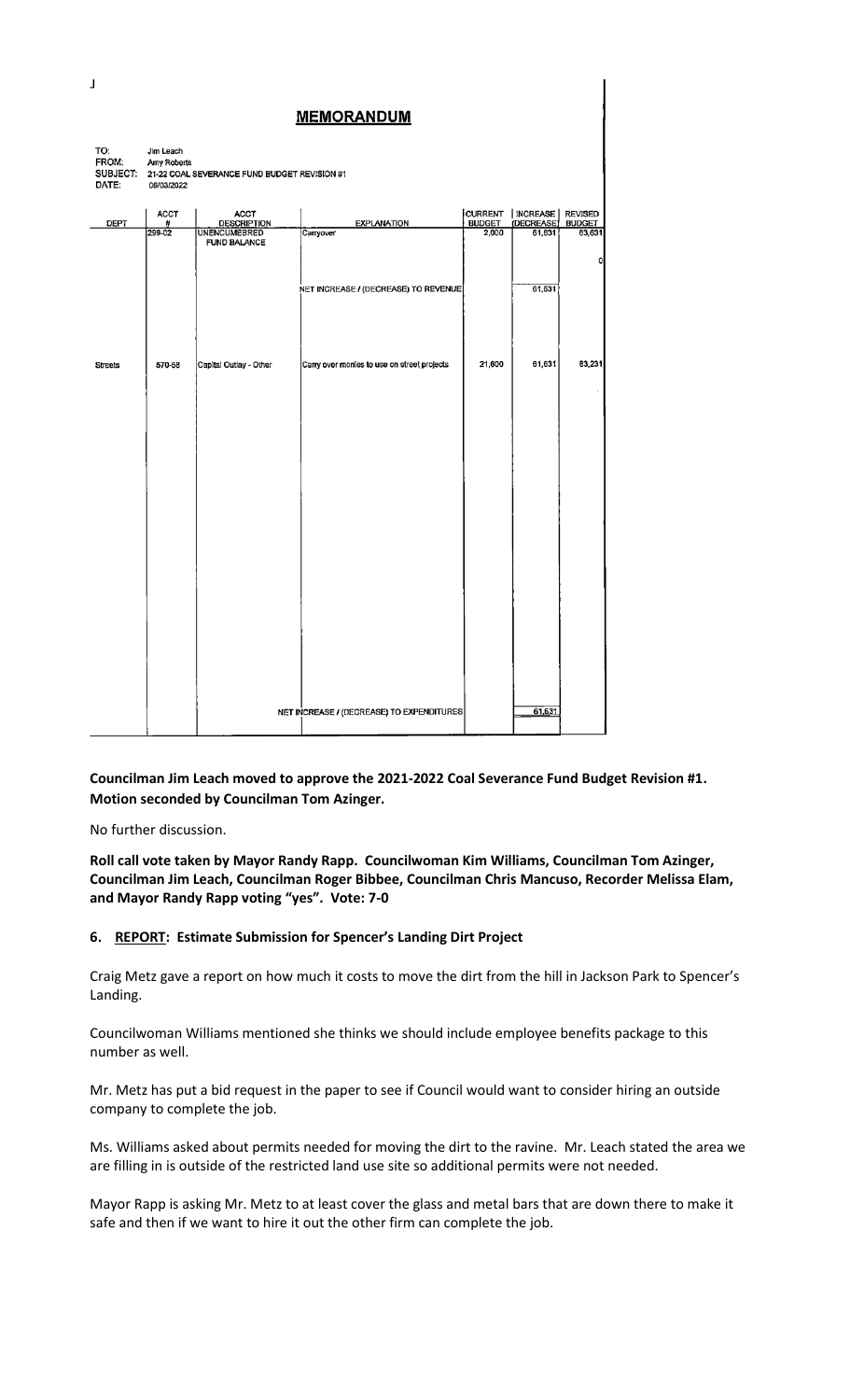| TO:<br>FROM:<br>DATE: | Jim Leach<br>Amy Roberts<br>SUBJECT: 21-22 COAL SEVERANCE FUND BUDGET REVISION #1<br>06/03/2022 |                                     |                                             |                          |                        |                                 |  |
|-----------------------|-------------------------------------------------------------------------------------------------|-------------------------------------|---------------------------------------------|--------------------------|------------------------|---------------------------------|--|
| DEPT                  | <b>ACCT</b><br>#                                                                                | <b>ACCT</b><br><b>DESCRIPTION</b>   | <b>EXPLANATION</b>                          | CURRENT<br><b>BUDGET</b> | INCREASE<br>(DECREASE) | <b>REVISED</b><br><b>BUDGET</b> |  |
|                       | 299-02                                                                                          | UNENCUMEBRED<br><b>FUND BALANCE</b> | Carryover                                   | 2,000                    | 61,631                 | 63,631<br>O                     |  |
|                       |                                                                                                 |                                     | NET INCREASE / (DECREASE) TO REVENUE        |                          | 61,631                 |                                 |  |
| <b>Streets</b>        | 570-58                                                                                          | Capital Outlay - Other              | Carry over monies to use on street projects | 21,600                   | 61,631                 | 83,231                          |  |
|                       |                                                                                                 |                                     |                                             |                          |                        |                                 |  |
|                       |                                                                                                 |                                     |                                             |                          |                        |                                 |  |
|                       |                                                                                                 |                                     |                                             |                          |                        |                                 |  |
|                       |                                                                                                 |                                     |                                             |                          |                        |                                 |  |
|                       |                                                                                                 |                                     |                                             |                          |                        |                                 |  |
|                       |                                                                                                 |                                     | NET INCREASE / (DECREASE) TO EXPENDITURES   |                          | 61,631                 |                                 |  |

# **Councilman Jim Leach moved to approve the 2021-2022 Coal Severance Fund Budget Revision #1. Motion seconded by Councilman Tom Azinger.**

No further discussion.

**Roll call vote taken by Mayor Randy Rapp. Councilwoman Kim Williams, Councilman Tom Azinger, Councilman Jim Leach, Councilman Roger Bibbee, Councilman Chris Mancuso, Recorder Melissa Elam, and Mayor Randy Rapp voting "yes". Vote: 7-0**

#### **6. REPORT: Estimate Submission for Spencer's Landing Dirt Project**

Craig Metz gave a report on how much it costs to move the dirt from the hill in Jackson Park to Spencer's Landing.

Councilwoman Williams mentioned she thinks we should include employee benefits package to this number as well.

Mr. Metz has put a bid request in the paper to see if Council would want to consider hiring an outside company to complete the job.

Ms. Williams asked about permits needed for moving the dirt to the ravine. Mr. Leach stated the area we are filling in is outside of the restricted land use site so additional permits were not needed.

Mayor Rapp is asking Mr. Metz to at least cover the glass and metal bars that are down there to make it safe and then if we want to hire it out the other firm can complete the job.

#### **MEMORANDUM**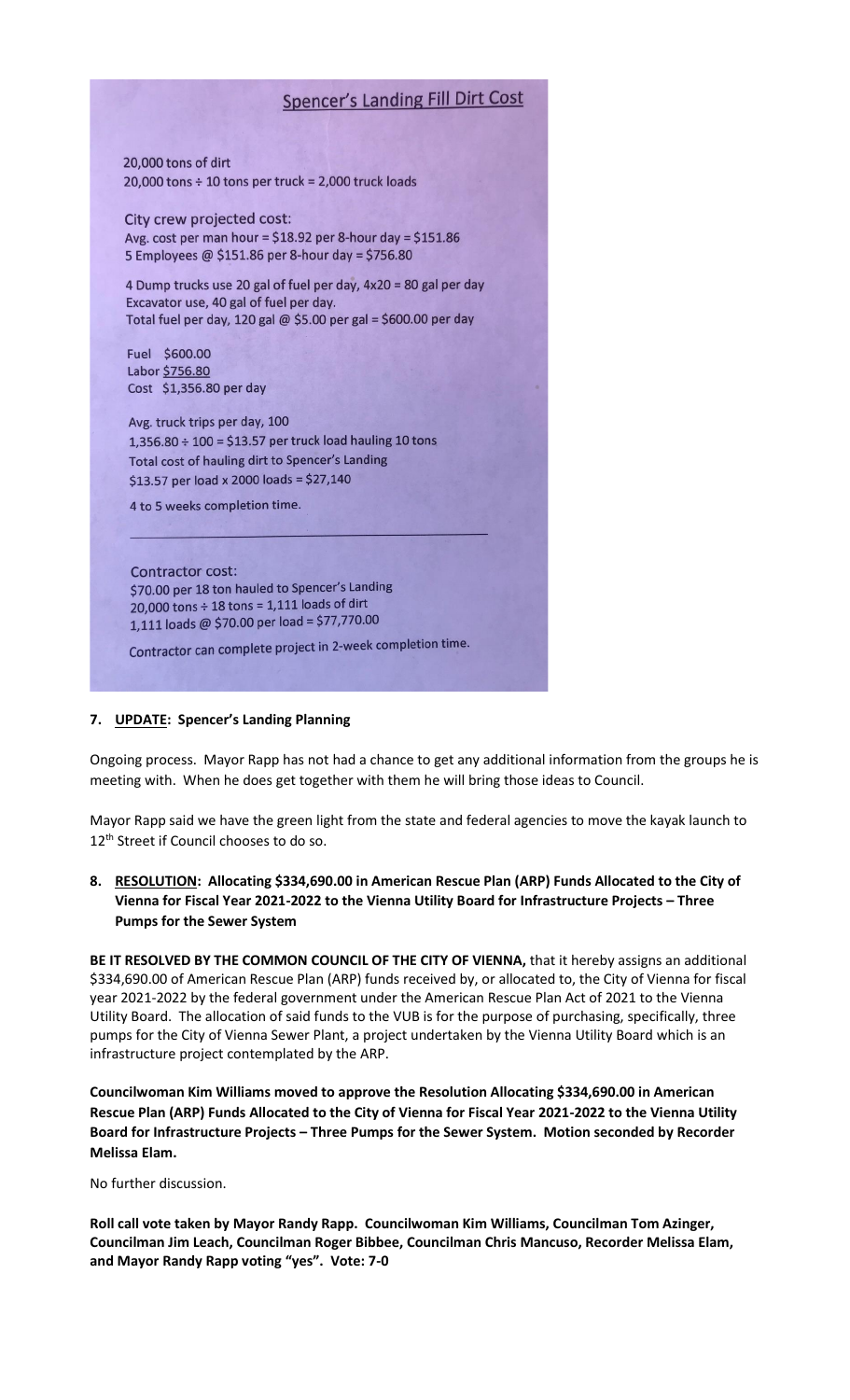# **Spencer's Landing Fill Dirt Cost**

20,000 tons of dirt 20,000 tons  $\div$  10 tons per truck = 2,000 truck loads

City crew projected cost: Avg. cost per man hour =  $$18.92$  per 8-hour day =  $$151.86$ 5 Employees @ \$151.86 per 8-hour day = \$756.80

4 Dump trucks use 20 gal of fuel per day, 4x20 = 80 gal per day Excavator use, 40 gal of fuel per day. Total fuel per day, 120 gal @ \$5.00 per gal = \$600.00 per day

Fuel \$600.00 Labor \$756.80 Cost \$1,356.80 per day

Avg. truck trips per day, 100  $1,356.80 \div 100 = $13.57$  per truck load hauling 10 tons Total cost of hauling dirt to Spencer's Landing \$13.57 per load x 2000 loads = \$27,140

4 to 5 weeks completion time.

**Contractor cost:** \$70.00 per 18 ton hauled to Spencer's Landing 20,000 tons ÷ 18 tons = 1,111 loads of dirt 1,111 loads @ \$70.00 per load = \$77,770.00

Contractor can complete project in 2-week completion time.

# **7. UPDATE: Spencer's Landing Planning**

Ongoing process. Mayor Rapp has not had a chance to get any additional information from the groups he is meeting with. When he does get together with them he will bring those ideas to Council.

Mayor Rapp said we have the green light from the state and federal agencies to move the kayak launch to 12<sup>th</sup> Street if Council chooses to do so.

# **8. RESOLUTION: Allocating \$334,690.00 in American Rescue Plan (ARP) Funds Allocated to the City of Vienna for Fiscal Year 2021-2022 to the Vienna Utility Board for Infrastructure Projects – Three Pumps for the Sewer System**

**BE IT RESOLVED BY THE COMMON COUNCIL OF THE CITY OF VIENNA,** that it hereby assigns an additional \$334,690.00 of American Rescue Plan (ARP) funds received by, or allocated to, the City of Vienna for fiscal year 2021-2022 by the federal government under the American Rescue Plan Act of 2021 to the Vienna Utility Board. The allocation of said funds to the VUB is for the purpose of purchasing, specifically, three pumps for the City of Vienna Sewer Plant, a project undertaken by the Vienna Utility Board which is an infrastructure project contemplated by the ARP.

**Councilwoman Kim Williams moved to approve the Resolution Allocating \$334,690.00 in American Rescue Plan (ARP) Funds Allocated to the City of Vienna for Fiscal Year 2021-2022 to the Vienna Utility Board for Infrastructure Projects – Three Pumps for the Sewer System. Motion seconded by Recorder Melissa Elam.**

No further discussion.

**Roll call vote taken by Mayor Randy Rapp. Councilwoman Kim Williams, Councilman Tom Azinger, Councilman Jim Leach, Councilman Roger Bibbee, Councilman Chris Mancuso, Recorder Melissa Elam, and Mayor Randy Rapp voting "yes". Vote: 7-0**